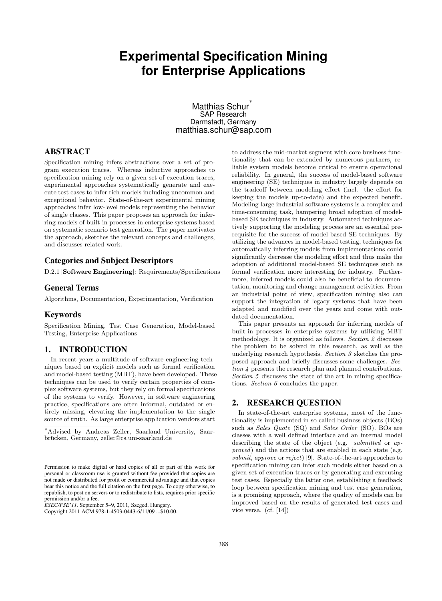# **Experimental Specification Mining for Enterprise Applications**

Matthias Schur<sup>\*</sup> SAP Research Darmstadt, Germany matthias.schur@sap.com

## ABSTRACT

Specification mining infers abstractions over a set of program execution traces. Whereas inductive approaches to specification mining rely on a given set of execution traces, experimental approaches systematically generate and execute test cases to infer rich models including uncommon and exceptional behavior. State-of-the-art experimental mining approaches infer low-level models representing the behavior of single classes. This paper proposes an approach for inferring models of built-in processes in enterprise systems based on systematic scenario test generation. The paper motivates the approach, sketches the relevant concepts and challenges, and discusses related work.

## Categories and Subject Descriptors

D.2.1 [Software Engineering]: Requirements/Specifications

## General Terms

Algorithms, Documentation, Experimentation, Verification

#### Keywords

Specification Mining, Test Case Generation, Model-based Testing, Enterprise Applications

## 1. INTRODUCTION

In recent years a multitude of software engineering techniques based on explicit models such as formal verification and model-based testing (MBT), have been developed. These techniques can be used to verify certain properties of complex software systems, but they rely on formal specifications of the systems to verify. However, in software engineering practice, specifications are often informal, outdated or entirely missing, elevating the implementation to the single source of truth. As large enterprise application vendors start

Copyright 2011 ACM 978-1-4503-0443-6/11/09 ...\$10.00.

to address the mid-market segment with core business functionality that can be extended by numerous partners, reliable system models become critical to ensure operational reliability. In general, the success of model-based software engineering (SE) techniques in industry largely depends on the tradeoff between modeling effort (incl. the effort for keeping the models up-to-date) and the expected benefit. Modeling large industrial software systems is a complex and time-consuming task, hampering broad adoption of modelbased SE techniques in industry. Automated techniques actively supporting the modeling process are an essential prerequisite for the success of model-based SE techniques. By utilizing the advances in model-based testing, techniques for automatically inferring models from implementations could significantly decrease the modeling effort and thus make the adoption of additional model-based SE techniques such as formal verification more interesting for industry. Furthermore, inferred models could also be beneficial to documentation, monitoring and change management activities. From an industrial point of view, specification mining also can support the integration of legacy systems that have been adapted and modified over the years and come with outdated documentation.

This paper presents an approach for inferring models of built-in processes in enterprise systems by utilizing MBT methodology. It is organized as follows. Section 2 discusses the problem to be solved in this research, as well as the underlying research hypothesis. Section 3 sketches the proposed approach and briefly discusses some challenges. Section 4 presents the research plan and planned contributions. Section 5 discusses the state of the art in mining specifications. Section 6 concludes the paper.

#### 2. RESEARCH QUESTION

In state-of-the-art enterprise systems, most of the functionality is implemented in so called business objects (BOs) such as Sales Quote (SQ) and Sales Order (SO). BOs are classes with a well defined interface and an internal model describing the state of the object (e.g. *submitted* or *ap*proved) and the actions that are enabled in each state (e.g. submit, approve or reject) [9]. State-of-the-art approaches to specification mining can infer such models either based on a given set of execution traces or by generating and executing test cases. Especially the latter one, establishing a feedback loop between specification mining and test case generation, is a promising approach, where the quality of models can be improved based on the results of generated test cases and vice versa. (cf. [14])

<sup>∗</sup>Advised by Andreas Zeller, Saarland University, Saarbrucken, Germany, zeller@cs.uni-saarland.de ¨

Permission to make digital or hard copies of all or part of this work for personal or classroom use is granted without fee provided that copies are not made or distributed for profit or commercial advantage and that copies bear this notice and the full citation on the first page. To copy otherwise, to republish, to post on servers or to redistribute to lists, requires prior specific permission and/or a fee.

*ESEC/FSE'11,* September 5–9, 2011, Szeged, Hungary.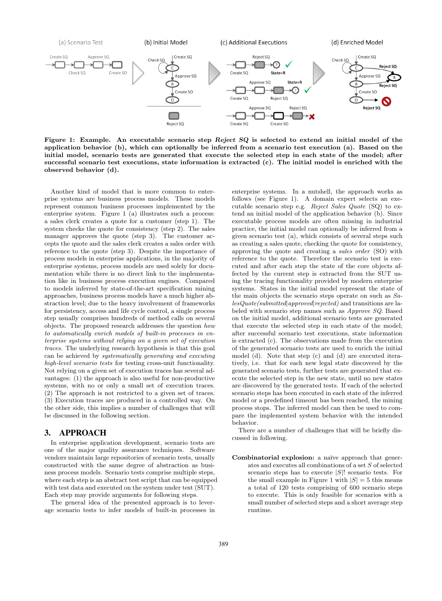

Figure 1: Example. An executable scenario step Reject  $SQ$  is selected to extend an initial model of the application behavior (b), which can optionally be inferred from a scenario test execution (a). Based on the initial model, scenario tests are generated that execute the selected step in each state of the model; after successful scenario test executions, state information is extracted (c). The initial model is enriched with the observed behavior (d).

Another kind of model that is more common to enterprise systems are business process models. These models represent common business processes implemented by the enterprise system. Figure 1 (a) illustrates such a process: a sales clerk creates a quote for a customer (step 1). The system checks the quote for consistency (step 2). The sales manager approves the quote (step 3). The customer accepts the quote and the sales clerk creates a sales order with reference to the quote (step 3). Despite the importance of process models in enterprise applications, in the majority of enterprise systems, process models are used solely for documentation while there is no direct link to the implementation like in business process execution engines. Compared to models inferred by state-of-the-art specification mining approaches, business process models have a much higher abstraction level; due to the heavy involvement of frameworks for persistency, access and life cycle control, a single process step usually comprises hundreds of method calls on several objects. The proposed research addresses the question how to automatically enrich models of built-in processes in enterprise systems without relying on a given set of execution traces. The underlying research hypothesis is that this goal can be achieved by systematically generating and executing high-level scenario tests for testing cross-unit functionality. Not relying on a given set of execution traces has several advantages: (1) the approach is also useful for non-productive systems, with no or only a small set of execution traces. (2) The approach is not restricted to a given set of traces. (3) Execution traces are produced in a controlled way. On the other side, this implies a number of challenges that will be discussed in the following section.

## 3. APPROACH

In enterprise application development, scenario tests are one of the major quality assurance techniques. Software vendors maintain large repositories of scenario tests, usually constructed with the same degree of abstraction as business process models. Scenario tests comprise multiple steps, where each step is an abstract test script that can be equipped with test data and executed on the system under test (SUT). Each step may provide arguments for following steps.

The general idea of the presented approach is to leverage scenario tests to infer models of built-in processes in enterprise systems. In a nutshell, the approach works as follows (see Figure 1). A domain expert selects an executable scenario step e.g. Reject Sales Quote (SQ) to extend an initial model of the application behavior (b). Since executable process models are often missing in industrial practice, the initial model can optionally be inferred from a given scenario test (a), which consists of several steps such as creating a sales quote, checking the quote for consistency, approving the quote and creating a sales order (SO) with reference to the quote. Therefore the scenario test is executed and after each step the state of the core objects affected by the current step is extracted from the SUT using the tracing functionality provided by modern enterprise systems. States in the initial model represent the state of the main objects the scenario steps operate on such as SalesQuote(submitted|approved|rejected) and transitions are labeled with scenario step names such as Approve SQ. Based on the initial model, additional scenario tests are generated that execute the selected step in each state of the model; after successful scenario test executions, state information is extracted (c). The observations made from the execution of the generated scenario tests are used to enrich the initial model (d). Note that step (c) and (d) are executed iteratively, i.e. that for each new legal state discovered by the generated scenario tests, further tests are generated that execute the selected step in the new state, until no new states are discovered by the generated tests. If each of the selected scenario steps has been executed in each state of the inferred model or a predefined timeout has been reached, the mining process stops. The inferred model can then be used to compare the implemented system behavior with the intended behavior.

There are a number of challenges that will be briefly discussed in following.

Combinatorial explosion: a naïve approach that generates and executes all combinations of a set S of selected scenario steps has to execute  $|S|$ ! scenario tests. For the small example in Figure 1 with  $|S| = 5$  this means a total of 120 tests comprising of 600 scenario steps to execute. This is only feasible for scenarios with a small number of selected steps and a short average step runtime.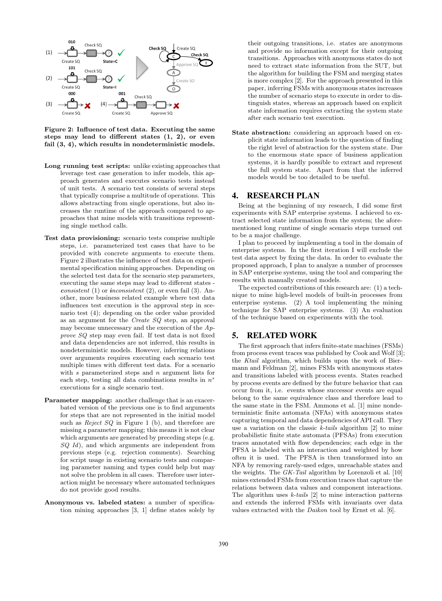

Figure 2: Influence of test data. Executing the same steps may lead to different states (1, 2), or even fail (3, 4), which results in nondeterministic models.

- Long running test scripts: unlike existing approaches that leverage test case generation to infer models, this approach generates and executes scenario tests instead of unit tests. A scenario test consists of several steps that typically comprise a multitude of operations. This allows abstracting from single operations, but also increases the runtime of the approach compared to approaches that mine models with transitions representing single method calls.
- Test data provisioning: scenario tests comprise multiple steps, i.e. parameterized test cases that have to be provided with concrete arguments to execute them. Figure 2 illustrates the influence of test data on experimental specification mining approaches. Depending on the selected test data for the scenario step parameters, executing the same steps may lead to different states *consistent* (1) or *inconsistent* (2), or even fail (3). Another, more business related example where test data influences test execution is the approval step in scenario test (4); depending on the order value provided as an argument for the Create SQ step, an approval may become unnecessary and the execution of the  $Ap$ prove  $SQ$  step may even fail. If test data is not fixed and data dependencies are not inferred, this results in nondeterministic models. However, inferring relations over arguments requires executing each scenario test multiple times with different test data. For a scenario with  $s$  parameterized steps and  $n$  argument lists for each step, testing all data combinations results in  $n<sup>s</sup>$ executions for a single scenario test.
- Parameter mapping: another challenge that is an exacerbated version of the previous one is to find arguments for steps that are not represented in the initial model such as *Reject*  $SQ$  in Figure 1 (b), and therefore are missing a parameter mapping; this means it is not clear which arguments are generated by preceding steps (e.g. SQ Id), and which arguments are independent from previous steps (e.g. rejection comments). Searching for script usage in existing scenario tests and comparing parameter naming and types could help but may not solve the problem in all cases. Therefore user interaction might be necessary where automated techniques do not provide good results.
- Anonymous vs. labeled states: a number of specification mining approaches [3, 1] define states solely by

their outgoing transitions, i.e. states are anonymous and provide no information except for their outgoing transitions. Approaches with anonymous states do not need to extract state information from the SUT, but the algorithm for building the FSM and merging states is more complex [2]. For the approach presented in this paper, inferring FSMs with anonymous states increases the number of scenario steps to execute in order to distinguish states, whereas an approach based on explicit state information requires extracting the system state after each scenario test execution.

State abstraction: considering an approach based on explicit state information leads to the question of finding the right level of abstraction for the system state. Due to the enormous state space of business application systems, it is hardly possible to extract and represent the full system state. Apart from that the inferred models would be too detailed to be useful.

## 4. RESEARCH PLAN

Being at the beginning of my research, I did some first experiments with SAP enterprise systems. I achieved to extract selected state information from the system; the aforementioned long runtime of single scenario steps turned out to be a major challenge.

I plan to proceed by implementing a tool in the domain of enterprise systems. In the first iteration I will exclude the test data aspect by fixing the data. In order to evaluate the proposed approach, I plan to analyze a number of processes in SAP enterprise systems, using the tool and comparing the results with manually created models.

The expected contributions of this research are: (1) a technique to mine high-level models of built-in processes from enterprise systems. (2) A tool implementing the mining technique for SAP enterprise systems. (3) An evaluation of the technique based on experiments with the tool.

#### 5. RELATED WORK

The first approach that infers finite-state machines (FSMs) from process event traces was published by Cook and Wolf [3]; the Ktail algorithm, which builds upon the work of Biermann and Feldman [2], mines FSMs with anonymous states and transitions labeled with process events. States reached by process events are defined by the future behavior that can occur from it, i.e. events whose successor events are equal belong to the same equivalence class and therefore lead to the same state in the FSM. Ammons et al. [1] mine nondeterministic finite automata (NFAs) with anonymous states capturing temporal and data dependencies of API call. They use a variation on the classic  $k$ -tails algorithm  $[2]$  to mine probabilistic finite state automata (PFSAs) from execution traces annotated with flow dependencies; each edge in the PFSA is labeled with an interaction and weighted by how often it is used. The PFSA is then transformed into an NFA by removing rarely-used edges, unreachable states and the weights. The GK-Tail algorithm by Lorenzoli et al. [10] mines extended FSMs from execution traces that capture the relations between data values and component interactions. The algorithm uses  $k$ -tails  $[2]$  to mine interaction patterns and extends the inferred FSMs with invariants over data values extracted with the Daikon tool by Ernst et al. [6].